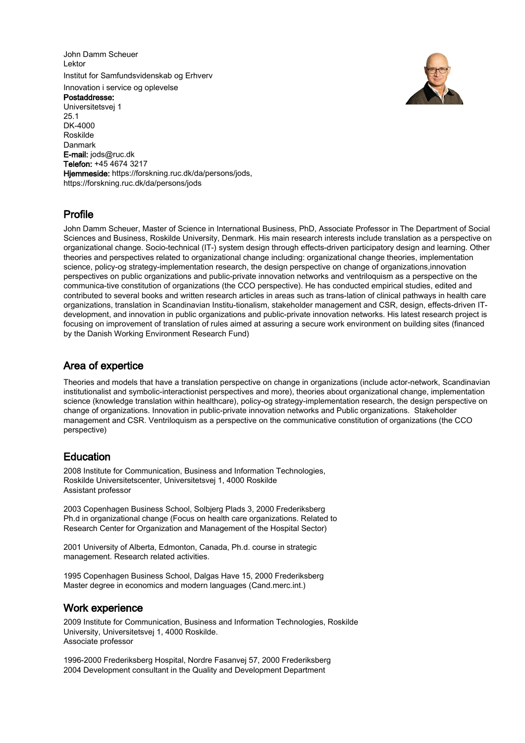John Damm Scheuer Lektor Institut for Samfundsvidenskab og Erhverv Innovation i service og oplevelse Postaddresse: Universitetsvej 1 25.1 DK-4000 Roskilde Danmark E-mail: jods@ruc.dk Telefon: +45 4674 3217 Hiemmeside: https://forskning.ruc.dk/da/persons/jods, https://forskning.ruc.dk/da/persons/jods



# Profile

John Damm Scheuer, Master of Science in International Business, PhD, Associate Professor in The Department of Social Sciences and Business, Roskilde University, Denmark. His main research interests include translation as a perspective on organizational change. Socio-technical (IT-) system design through effects-driven participatory design and learning. Other theories and perspectives related to organizational change including: organizational change theories, implementation science, policy-og strategy-implementation research, the design perspective on change of organizations,innovation perspectives on public organizations and public-private innovation networks and ventriloquism as a perspective on the communica-tive constitution of organizations (the CCO perspective). He has conducted empirical studies, edited and contributed to several books and written research articles in areas such as trans-lation of clinical pathways in health care organizations, translation in Scandinavian Institu-tionalism, stakeholder management and CSR, design, effects-driven ITdevelopment, and innovation in public organizations and public-private innovation networks. His latest research project is focusing on improvement of translation of rules aimed at assuring a secure work environment on building sites (financed by the Danish Working Environment Research Fund)

# Area of expertice

Theories and models that have a translation perspective on change in organizations (include actor-network, Scandinavian institutionalist and symbolic-interactionist perspectives and more), theories about organizational change, implementation science (knowledge translation within healthcare), policy-og strategy-implementation research, the design perspective on change of organizations. Innovation in public-private innovation networks and Public organizations. Stakeholder management and CSR. Ventriloquism as a perspective on the communicative constitution of organizations (the CCO perspective)

# **Education**

2008 Institute for Communication, Business and Information Technologies, Roskilde Universitetscenter, Universitetsvej 1, 4000 Roskilde Assistant professor

2003 Copenhagen Business School, Solbjerg Plads 3, 2000 Frederiksberg Ph.d in organizational change (Focus on health care organizations. Related to Research Center for Organization and Management of the Hospital Sector)

2001 University of Alberta, Edmonton, Canada, Ph.d. course in strategic management. Research related activities.

1995 Copenhagen Business School, Dalgas Have 15, 2000 Frederiksberg Master degree in economics and modern languages (Cand.merc.int.)

# Work experience

2009 Institute for Communication, Business and Information Technologies, Roskilde University, Universitetsvej 1, 4000 Roskilde. Associate professor

1996-2000 Frederiksberg Hospital, Nordre Fasanvej 57, 2000 Frederiksberg 2004 Development consultant in the Quality and Development Department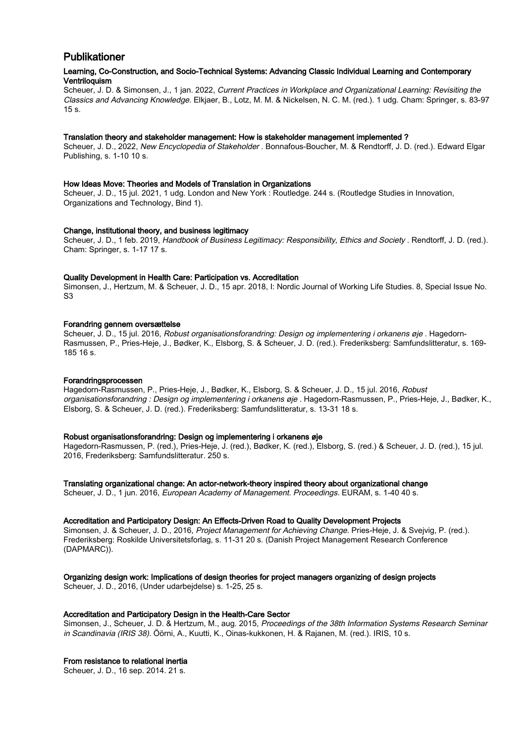# Publikationer

# Learning, Co-Construction, and Socio-Technical Systems: Advancing Classic Individual Learning and Contemporary Ventriloquism

Scheuer, J. D. & Simonsen, J., 1 jan. 2022, Current Practices in Workplace and Organizational Learning: Revisiting the Classics and Advancing Knowledge. Elkjaer, B., Lotz, M. M. & Nickelsen, N. C. M. (red.). 1 udg. Cham: Springer, s. 83-97  $15 s$ 

# Translation theory and stakeholder management: How is stakeholder management implemented ?

Scheuer, J. D., 2022, New Encyclopedia of Stakeholder . Bonnafous-Boucher, M. & Rendtorff, J. D. (red.). Edward Elgar Publishing, s. 1-10 10 s.

#### How Ideas Move: Theories and Models of Translation in Organizations

Scheuer, J. D., 15 jul. 2021, 1 udg. London and New York : Routledge. 244 s. (Routledge Studies in Innovation, Organizations and Technology, Bind 1).

# Change, institutional theory, and business legitimacy

Scheuer, J. D., 1 feb. 2019, Handbook of Business Legitimacy: Responsibility, Ethics and Society . Rendtorff, J. D. (red.). Cham: Springer, s. 1-17 17 s.

# Quality Development in Health Care: Participation vs. Accreditation

Simonsen, J., Hertzum, M. & Scheuer, J. D., 15 apr. 2018, I: Nordic Journal of Working Life Studies. 8, Special Issue No. S3

#### Forandring gennem oversættelse

Scheuer, J. D., 15 jul. 2016, Robust organisationsforandring: Design og implementering i orkanens øje . Hagedorn-Rasmussen, P., Pries-Heje, J., Bødker, K., Elsborg, S. & Scheuer, J. D. (red.). Frederiksberg: Samfundslitteratur, s. 169- 185 16 s.

#### Forandringsprocessen

Hagedorn-Rasmussen, P., Pries-Heje, J., Bødker, K., Elsborg, S. & Scheuer, J. D., 15 jul. 2016, Robust organisationsforandring : Design og implementering i orkanens øje . Hagedorn-Rasmussen, P., Pries-Heje, J., Bødker, K., Elsborg, S. & Scheuer, J. D. (red.). Frederiksberg: Samfundslitteratur, s. 13-31 18 s.

### Robust organisationsforandring: Design og implementering i orkanens øje

Hagedorn-Rasmussen, P. (red.), Pries-Heje, J. (red.), Bødker, K. (red.), Elsborg, S. (red.) & Scheuer, J. D. (red.), 15 jul. 2016, Frederiksberg: Samfundslitteratur. 250 s.

Translating organizational change: An actor-network-theory inspired theory about organizational change

Scheuer, J. D., 1 jun. 2016, *European Academy of Management. Proceedings.* EURAM, s. 1-40 40 s.

#### Accreditation and Participatory Design: An Effects-Driven Road to Quality Development Projects

Simonsen, J. & Scheuer, J. D., 2016, Project Management for Achieving Change. Pries-Heje, J. & Svejvig, P. (red.). Frederiksberg: Roskilde Universitetsforlag, s. 11-31 20 s. (Danish Project Management Research Conference (DAPMARC)).

# Organizing design work: Implications of design theories for project managers organizing of design projects

Scheuer, J. D., 2016, (Under udarbejdelse) s. 1-25, 25 s.

### Accreditation and Participatory Design in the Health-Care Sector

Simonsen, J., Scheuer, J. D. & Hertzum, M., aug. 2015, Proceedings of the 38th Information Systems Research Seminar in Scandinavia (IRIS 38). Öörni, A., Kuutti, K., Oinas-kukkonen, H. & Rajanen, M. (red.). IRIS, 10 s.

#### From resistance to relational inertia

Scheuer, J. D., 16 sep. 2014. 21 s.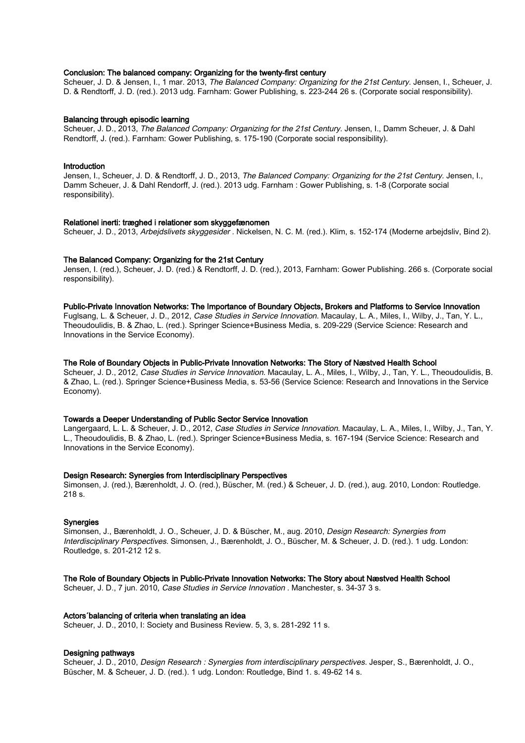#### Conclusion: The balanced company: Organizing for the twenty-first century

Scheuer, J. D. & Jensen, I., 1 mar. 2013, The Balanced Company: Organizing for the 21st Century. Jensen, I., Scheuer, J. D. & Rendtorff, J. D. (red.). 2013 udg. Farnham: Gower Publishing, s. 223-244 26 s. (Corporate social responsibility).

#### Balancing through episodic learning

Scheuer, J. D., 2013, The Balanced Company: Organizing for the 21st Century. Jensen, I., Damm Scheuer, J. & Dahl Rendtorff, J. (red.). Farnham: Gower Publishing, s. 175-190 (Corporate social responsibility).

#### Introduction

Jensen, I., Scheuer, J. D. & Rendtorff, J. D., 2013, The Balanced Company: Organizing for the 21st Century. Jensen, I., Damm Scheuer, J. & Dahl Rendorff, J. (red.). 2013 udg. Farnham : Gower Publishing, s. 1-8 (Corporate social responsibility).

#### Relationel inerti: træghed i relationer som skyggefænomen

Scheuer, J. D., 2013, Arbejdslivets skyggesider . Nickelsen, N. C. M. (red.). Klim, s. 152-174 (Moderne arbejdsliv, Bind 2).

#### The Balanced Company: Organizing for the 21st Century

Jensen, I. (red.), Scheuer, J. D. (red.) & Rendtorff, J. D. (red.), 2013, Farnham: Gower Publishing. 266 s. (Corporate social responsibility).

#### Public-Private Innovation Networks: The Importance of Boundary Objects, Brokers and Platforms to Service Innovation

Fuglsang, L. & Scheuer, J. D., 2012, Case Studies in Service Innovation. Macaulay, L. A., Miles, I., Wilby, J., Tan, Y. L., Theoudoulidis, B. & Zhao, L. (red.). Springer Science+Business Media, s. 209-229 (Service Science: Research and Innovations in the Service Economy).

#### The Role of Boundary Objects in Public-Private Innovation Networks: The Story of Næstved Health School

Scheuer, J. D., 2012, Case Studies in Service Innovation. Macaulay, L. A., Miles, I., Wilby, J., Tan, Y. L., Theoudoulidis, B. & Zhao, L. (red.). Springer Science+Business Media, s. 53-56 (Service Science: Research and Innovations in the Service Economy).

### Towards a Deeper Understanding of Public Sector Service Innovation

Langergaard, L. L. & Scheuer, J. D., 2012, Case Studies in Service Innovation. Macaulay, L. A., Miles, I., Wilby, J., Tan, Y. L., Theoudoulidis, B. & Zhao, L. (red.). Springer Science+Business Media, s. 167-194 (Service Science: Research and Innovations in the Service Economy).

#### Design Research: Synergies from Interdisciplinary Perspectives

Simonsen, J. (red.), Bærenholdt, J. O. (red.), Büscher, M. (red.) & Scheuer, J. D. (red.), aug. 2010, London: Routledge. 218 s.

#### **Synergies**

Simonsen, J., Bærenholdt, J. O., Scheuer, J. D. & Büscher, M., aug. 2010, Design Research: Synergies from Interdisciplinary Perspectives. Simonsen, J., Bærenholdt, J. O., Büscher, M. & Scheuer, J. D. (red.). 1 udg. London: Routledge, s. 201-212 12 s.

#### The Role of Boundary Objects in Public-Private Innovation Networks: The Story about Næstved Health School

Scheuer, J. D., 7 jun. 2010, Case Studies in Service Innovation . Manchester, s. 34-37 3 s.

#### Actors´balancing of criteria when translating an idea

Scheuer, J. D., 2010, I: Society and Business Review. 5, 3, s. 281-292 11 s.

#### Designing pathways

Scheuer, J. D., 2010, Design Research : Synergies from interdisciplinary perspectives. Jesper, S., Bærenholdt, J. O., Büscher, M. & Scheuer, J. D. (red.). 1 udg. London: Routledge, Bind 1. s. 49-62 14 s.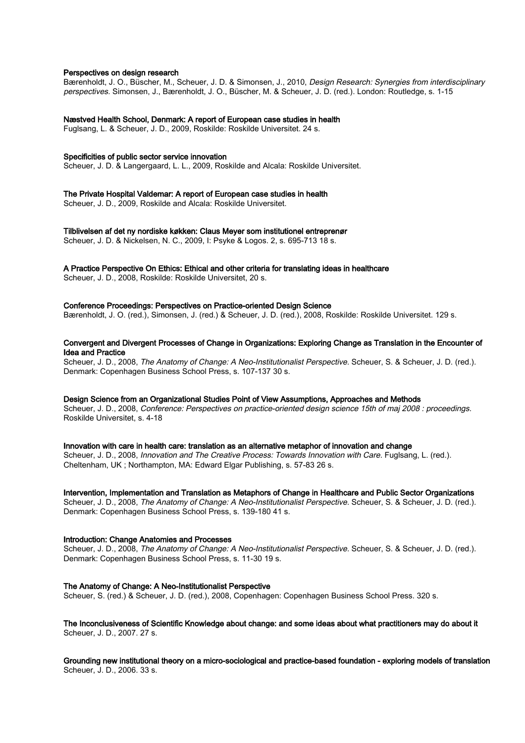#### Perspectives on design research

Bærenholdt, J. O., Büscher, M., Scheuer, J. D. & Simonsen, J., 2010, Design Research: Synergies from interdisciplinary perspectives. Simonsen, J., Bærenholdt, J. O., Büscher, M. & Scheuer, J. D. (red.). London: Routledge, s. 1-15

# Næstved Health School, Denmark: A report of European case studies in health

Fuglsang, L. & Scheuer, J. D., 2009, Roskilde: Roskilde Universitet. 24 s.

#### Specificities of public sector service innovation

Scheuer, J. D. & Langergaard, L. L., 2009, Roskilde and Alcala: Roskilde Universitet.

#### The Private Hospital Valdemar: A report of European case studies in health

Scheuer, J. D., 2009, Roskilde and Alcala: Roskilde Universitet.

### Tilblivelsen af det ny nordiske køkken: Claus Meyer som institutionel entreprenør

Scheuer, J. D. & Nickelsen, N. C., 2009, I: Psyke & Logos. 2, s. 695-713 18 s.

# A Practice Perspective On Ethics: Ethical and other criteria for translating ideas in healthcare

Scheuer, J. D., 2008, Roskilde: Roskilde Universitet, 20 s.

# Conference Proceedings: Perspectives on Practice-oriented Design Science

Bærenholdt, J. O. (red.), Simonsen, J. (red.) & Scheuer, J. D. (red.), 2008, Roskilde: Roskilde Universitet. 129 s.

# Convergent and Divergent Processes of Change in Organizations: Exploring Change as Translation in the Encounter of Idea and Practice

Scheuer, J. D., 2008, The Anatomy of Change: A Neo-Institutionalist Perspective. Scheuer, S. & Scheuer, J. D. (red.). Denmark: Copenhagen Business School Press, s. 107-137 30 s.

#### Design Science from an Organizational Studies Point of View Assumptions, Approaches and Methods

Scheuer, J. D., 2008, Conference: Perspectives on practice-oriented design science 15th of maj 2008 : proceedings. Roskilde Universitet, s. 4-18

# Innovation with care in health care: translation as an alternative metaphor of innovation and change

Scheuer, J. D., 2008, Innovation and The Creative Process: Towards Innovation with Care. Fuglsang, L. (red.). Cheltenham, UK ; Northampton, MA: Edward Elgar Publishing, s. 57-83 26 s.

#### Intervention, Implementation and Translation as Metaphors of Change in Healthcare and Public Sector Organizations

Scheuer, J. D., 2008, The Anatomy of Change: A Neo-Institutionalist Perspective. Scheuer, S. & Scheuer, J. D. (red.). Denmark: Copenhagen Business School Press, s. 139-180 41 s.

#### Introduction: Change Anatomies and Processes

Scheuer, J. D., 2008, The Anatomy of Change: A Neo-Institutionalist Perspective. Scheuer, S. & Scheuer, J. D. (red.). Denmark: Copenhagen Business School Press, s. 11-30 19 s.

#### The Anatomy of Change: A Neo-Institutionalist Perspective

Scheuer, S. (red.) & Scheuer, J. D. (red.), 2008, Copenhagen: Copenhagen Business School Press. 320 s.

### The Inconclusiveness of Scientific Knowledge about change: and some ideas about what practitioners may do about it Scheuer, J. D., 2007. 27 s.

Grounding new institutional theory on a micro-sociological and practice-based foundation - exploring models of translation Scheuer, J. D., 2006. 33 s.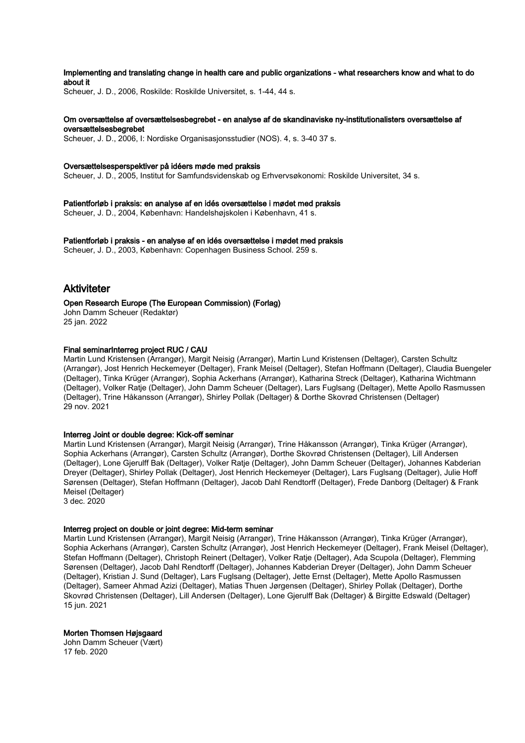# Implementing and translating change in health care and public organizations - what researchers know and what to do about it

Scheuer, J. D., 2006, Roskilde: Roskilde Universitet, s. 1-44, 44 s.

#### Om oversættelse af oversættelsesbegrebet - en analyse af de skandinaviske ny-institutionalisters oversættelse af oversættelsesbegrebet

Scheuer, J. D., 2006, I: Nordiske Organisasjonsstudier (NOS). 4, s. 3-40 37 s.

#### Oversættelsesperspektiver på idéers møde med praksis

Scheuer, J. D., 2005, Institut for Samfundsvidenskab og Erhvervsøkonomi: Roskilde Universitet, 34 s.

Patientforløb i praksis: en analyse af en idés oversættelse i mødet med praksis Scheuer, J. D., 2004, København: Handelshøjskolen i København, 41 s.

Patientforløb i praksis - en analyse af en idés oversættelse i mødet med praksis Scheuer, J. D., 2003, København: Copenhagen Business School. 259 s.

# Aktiviteter

#### Open Research Europe (The European Commission) (Forlag)

John Damm Scheuer (Redaktør) 25 jan. 2022

# Final seminarInterreg project RUC / CAU

Martin Lund Kristensen (Arrangør), Margit Neisig (Arrangør), Martin Lund Kristensen (Deltager), Carsten Schultz (Arrangør), Jost Henrich Heckemeyer (Deltager), Frank Meisel (Deltager), Stefan Hoffmann (Deltager), Claudia Buengeler (Deltager), Tinka Krüger (Arrangør), Sophia Ackerhans (Arrangør), Katharina Streck (Deltager), Katharina Wichtmann (Deltager), Volker Ratje (Deltager), John Damm Scheuer (Deltager), Lars Fuglsang (Deltager), Mette Apollo Rasmussen (Deltager), Trine Håkansson (Arrangør), Shirley Pollak (Deltager) & Dorthe Skovrød Christensen (Deltager) 29 nov. 2021

#### Interreg Joint or double degree: Kick-off seminar

Martin Lund Kristensen (Arrangør), Margit Neisig (Arrangør), Trine Håkansson (Arrangør), Tinka Krüger (Arrangør), Sophia Ackerhans (Arrangør), Carsten Schultz (Arrangør), Dorthe Skovrød Christensen (Deltager), Lill Andersen (Deltager), Lone Gjerulff Bak (Deltager), Volker Ratje (Deltager), John Damm Scheuer (Deltager), Johannes Kabderian Dreyer (Deltager), Shirley Pollak (Deltager), Jost Henrich Heckemeyer (Deltager), Lars Fuglsang (Deltager), Julie Hoff Sørensen (Deltager), Stefan Hoffmann (Deltager), Jacob Dahl Rendtorff (Deltager), Frede Danborg (Deltager) & Frank Meisel (Deltager)

3 dec. 2020

# Interreg project on double or joint degree: Mid-term seminar

Martin Lund Kristensen (Arrangør), Margit Neisig (Arrangør), Trine Håkansson (Arrangør), Tinka Krüger (Arrangør), Sophia Ackerhans (Arrangør), Carsten Schultz (Arrangør), Jost Henrich Heckemeyer (Deltager), Frank Meisel (Deltager), Stefan Hoffmann (Deltager), Christoph Reinert (Deltager), Volker Ratje (Deltager), Ada Scupola (Deltager), Flemming Sørensen (Deltager), Jacob Dahl Rendtorff (Deltager), Johannes Kabderian Dreyer (Deltager), John Damm Scheuer (Deltager), Kristian J. Sund (Deltager), Lars Fuglsang (Deltager), Jette Ernst (Deltager), Mette Apollo Rasmussen (Deltager), Sameer Ahmad Azizi (Deltager), Matias Thuen Jørgensen (Deltager), Shirley Pollak (Deltager), Dorthe Skovrød Christensen (Deltager), Lill Andersen (Deltager), Lone Gjerulff Bak (Deltager) & Birgitte Edswald (Deltager) 15 jun. 2021

#### Morten Thomsen Højsgaard

John Damm Scheuer (Vært) 17 feb. 2020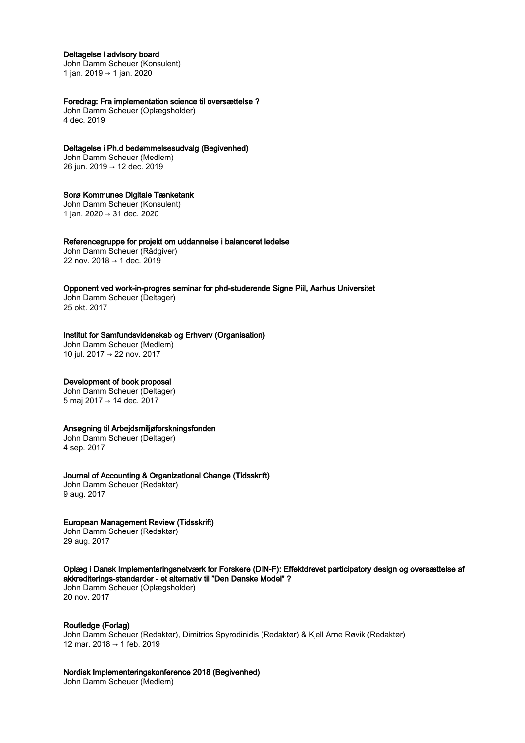#### Deltagelse i advisory board

John Damm Scheuer (Konsulent) 1 jan. 2019 → 1 jan. 2020

# Foredrag: Fra implementation science til oversættelse ?

John Damm Scheuer (Oplægsholder) 4 dec. 2019

#### Deltagelse i Ph.d bedømmelsesudvalg (Begivenhed)

John Damm Scheuer (Medlem) 26 jun. 2019 → 12 dec. 2019

#### Sorø Kommunes Digitale Tænketank

John Damm Scheuer (Konsulent) 1 jan. 2020 → 31 dec. 2020

#### Referencegruppe for projekt om uddannelse i balanceret ledelse

John Damm Scheuer (Rådgiver) 22 nov. 2018 → 1 dec. 2019

Opponent ved work-in-progres seminar for phd-studerende Signe Piil, Aarhus Universitet John Damm Scheuer (Deltager)

25 okt. 2017

#### Institut for Samfundsvidenskab og Erhverv (Organisation)

John Damm Scheuer (Medlem) 10 jul. 2017 → 22 nov. 2017

# Development of book proposal

John Damm Scheuer (Deltager) 5 maj 2017 → 14 dec. 2017

# Ansøgning til Arbejdsmiljøforskningsfonden

John Damm Scheuer (Deltager) 4 sep. 2017

### Journal of Accounting & Organizational Change (Tidsskrift)

John Damm Scheuer (Redaktør) 9 aug. 2017

# European Management Review (Tidsskrift)

John Damm Scheuer (Redaktør) 29 aug. 2017

#### Oplæg i Dansk Implementeringsnetværk for Forskere (DIN-F): Effektdrevet participatory design og oversættelse af akkrediterings-standarder - et alternativ til "Den Danske Model" ?

John Damm Scheuer (Oplægsholder) 20 nov. 2017

### Routledge (Forlag)

John Damm Scheuer (Redaktør), Dimitrios Spyrodinidis (Redaktør) & Kjell Arne Røvik (Redaktør) 12 mar. 2018 → 1 feb. 2019

# Nordisk Implementeringskonference 2018 (Begivenhed)

John Damm Scheuer (Medlem)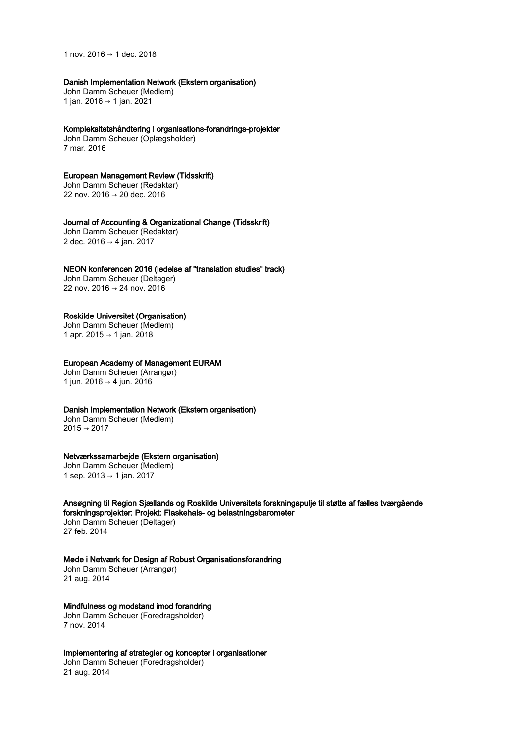1 nov. 2016 → 1 dec. 2018

# Danish Implementation Network (Ekstern organisation)

John Damm Scheuer (Medlem) 1 jan. 2016 → 1 jan. 2021

#### Kompleksitetshåndtering i organisations-forandrings-projekter

John Damm Scheuer (Oplægsholder) 7 mar. 2016

# European Management Review (Tidsskrift)

John Damm Scheuer (Redaktør) 22 nov. 2016 → 20 dec. 2016

#### Journal of Accounting & Organizational Change (Tidsskrift)

John Damm Scheuer (Redaktør) 2 dec. 2016 → 4 jan. 2017

#### NEON konferencen 2016 (ledelse af "translation studies" track)

John Damm Scheuer (Deltager) 22 nov. 2016 → 24 nov. 2016

# Roskilde Universitet (Organisation)

John Damm Scheuer (Medlem) 1 apr. 2015 → 1 jan. 2018

# European Academy of Management EURAM

John Damm Scheuer (Arrangør) 1 jun. 2016 → 4 jun. 2016

# Danish Implementation Network (Ekstern organisation)

John Damm Scheuer (Medlem)  $2015 \rightarrow 2017$ 

# Netværkssamarbejde (Ekstern organisation)

John Damm Scheuer (Medlem) 1 sep. 2013 → 1 jan. 2017

# Ansøgning til Region Sjællands og Roskilde Universitets forskningspulje til støtte af fælles tværgående forskningsprojekter: Projekt: Flaskehals- og belastningsbarometer

John Damm Scheuer (Deltager) 27 feb. 2014

#### Møde i Netværk for Design af Robust Organisationsforandring

John Damm Scheuer (Arrangør) 21 aug. 2014

# Mindfulness og modstand imod forandring

John Damm Scheuer (Foredragsholder) 7 nov. 2014

#### Implementering af strategier og koncepter i organisationer

John Damm Scheuer (Foredragsholder) 21 aug. 2014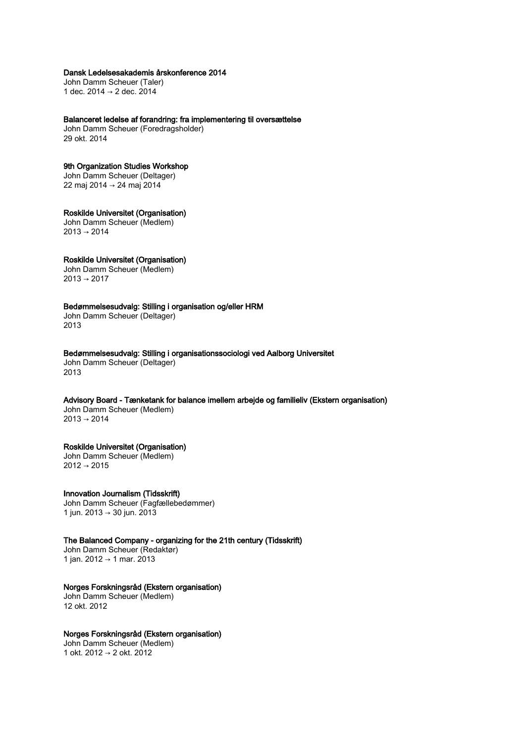# Dansk Ledelsesakademis årskonference 2014

John Damm Scheuer (Taler) 1 dec. 2014 → 2 dec. 2014

Balanceret ledelse af forandring: fra implementering til oversættelse

John Damm Scheuer (Foredragsholder) 29 okt. 2014

# 9th Organization Studies Workshop

John Damm Scheuer (Deltager) 22 maj 2014 → 24 maj 2014

#### Roskilde Universitet (Organisation) John Damm Scheuer (Medlem)

 $2013 \rightarrow 2014$ 

# Roskilde Universitet (Organisation)

John Damm Scheuer (Medlem)  $2013 \rightarrow 2017$ 

# Bedømmelsesudvalg: Stilling i organisation og/eller HRM

John Damm Scheuer (Deltager) 2013

### Bedømmelsesudvalg: Stilling i organisationssociologi ved Aalborg Universitet

John Damm Scheuer (Deltager) 2013

# Advisory Board - Tænketank for balance imellem arbejde og familieliv (Ekstern organisation)

John Damm Scheuer (Medlem)  $2013 \rightarrow 2014$ 

# Roskilde Universitet (Organisation)

John Damm Scheuer (Medlem) 2012 → 2015

# Innovation Journalism (Tidsskrift)

John Damm Scheuer (Fagfællebedømmer) 1 jun. 2013 → 30 jun. 2013

The Balanced Company - organizing for the 21th century (Tidsskrift) John Damm Scheuer (Redaktør)

1 jan. 2012 → 1 mar. 2013

# Norges Forskningsråd (Ekstern organisation)

John Damm Scheuer (Medlem) 12 okt. 2012

# Norges Forskningsråd (Ekstern organisation)

John Damm Scheuer (Medlem) 1 okt. 2012 → 2 okt. 2012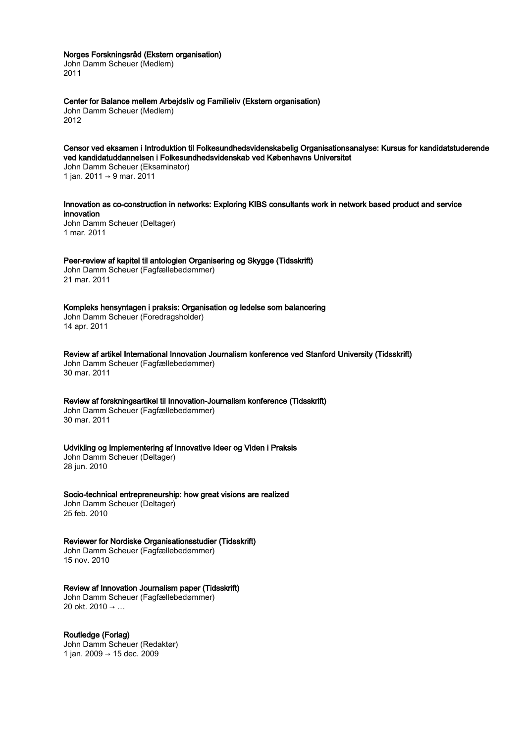### Norges Forskningsråd (Ekstern organisation)

John Damm Scheuer (Medlem) 2011

# Center for Balance mellem Arbejdsliv og Familieliv (Ekstern organisation)

John Damm Scheuer (Medlem) 2012

# Censor ved eksamen i Introduktion til Folkesundhedsvidenskabelig Organisationsanalyse: Kursus for kandidatstuderende ved kandidatuddannelsen i Folkesundhedsvidenskab ved Københavns Universitet

John Damm Scheuer (Eksaminator) 1 jan. 2011 → 9 mar. 2011

# Innovation as co-construction in networks: Exploring KIBS consultants work in network based product and service innovation

John Damm Scheuer (Deltager) 1 mar. 2011

# Peer-review af kapitel til antologien Organisering og Skygge (Tidsskrift)

John Damm Scheuer (Fagfællebedømmer) 21 mar. 2011

# Kompleks hensyntagen i praksis: Organisation og ledelse som balancering

John Damm Scheuer (Foredragsholder) 14 apr. 2011

# Review af artikel International Innovation Journalism konference ved Stanford University (Tidsskrift)

John Damm Scheuer (Fagfællebedømmer) 30 mar. 2011

# Review af forskningsartikel til Innovation-Journalism konference (Tidsskrift)

John Damm Scheuer (Fagfællebedømmer) 30 mar. 2011

# Udvikling og Implementering af Innovative Ideer og Viden i Praksis

John Damm Scheuer (Deltager) 28 jun. 2010

#### Socio-technical entrepreneurship: how great visions are realized

John Damm Scheuer (Deltager) 25 feb. 2010

# Reviewer for Nordiske Organisationsstudier (Tidsskrift)

John Damm Scheuer (Fagfællebedømmer) 15 nov. 2010

# Review af Innovation Journalism paper (Tidsskrift)

John Damm Scheuer (Fagfællebedømmer) 20 okt. 2010 → …

# Routledge (Forlag)

John Damm Scheuer (Redaktør) 1 jan. 2009 → 15 dec. 2009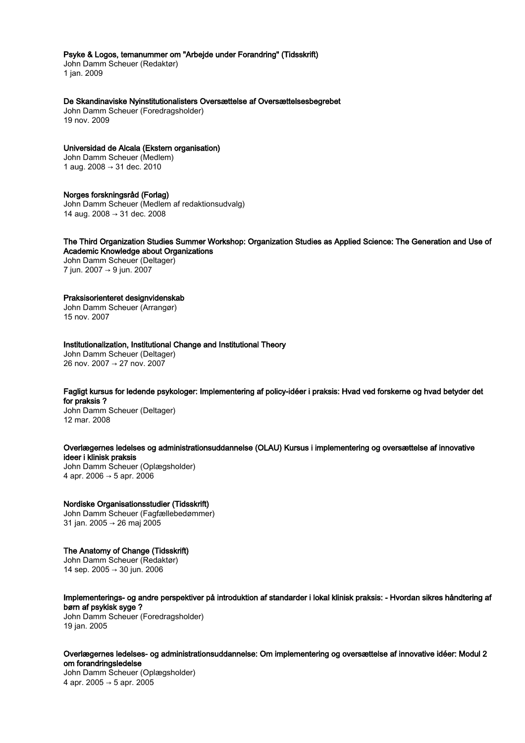#### Psyke & Logos, temanummer om "Arbejde under Forandring" (Tidsskrift)

John Damm Scheuer (Redaktør) 1 jan. 2009

#### De Skandinaviske Nyinstitutionalisters Oversættelse af Oversættelsesbegrebet

John Damm Scheuer (Foredragsholder) 19 nov. 2009

#### Universidad de Alcala (Ekstern organisation)

John Damm Scheuer (Medlem) 1 aug. 2008 → 31 dec. 2010

#### Norges forskningsråd (Forlag)

John Damm Scheuer (Medlem af redaktionsudvalg) 14 aug. 2008 → 31 dec. 2008

### The Third Organization Studies Summer Workshop: Organization Studies as Applied Science: The Generation and Use of Academic Knowledge about Organizations

John Damm Scheuer (Deltager) 7 jun. 2007 → 9 jun. 2007

#### Praksisorienteret designvidenskab

John Damm Scheuer (Arrangør) 15 nov. 2007

# Institutionalization, Institutional Change and Institutional Theory

John Damm Scheuer (Deltager) 26 nov. 2007 → 27 nov. 2007

# Fagligt kursus for ledende psykologer: Implementering af policy-idéer i praksis: Hvad ved forskerne og hvad betyder det for praksis ?

John Damm Scheuer (Deltager) 12 mar. 2008

# Overlægernes ledelses og administrationsuddannelse (OLAU) Kursus i implementering og oversættelse af innovative ideer i klinisk praksis

John Damm Scheuer (Oplægsholder) 4 apr. 2006 → 5 apr. 2006

# Nordiske Organisationsstudier (Tidsskrift)

John Damm Scheuer (Fagfællebedømmer) 31 jan. 2005 → 26 maj 2005

#### The Anatomy of Change (Tidsskrift) John Damm Scheuer (Redaktør) 14 sep. 2005 → 30 jun. 2006

#### Implementerings- og andre perspektiver på introduktion af standarder i lokal klinisk praksis: - Hvordan sikres håndtering af børn af psykisk syge ? John Damm Scheuer (Foredragsholder) 19 jan. 2005

Overlægernes ledelses- og administrationsuddannelse: Om implementering og oversættelse af innovative idéer: Modul 2 om forandringsledelse

John Damm Scheuer (Oplægsholder) 4 apr. 2005 → 5 apr. 2005